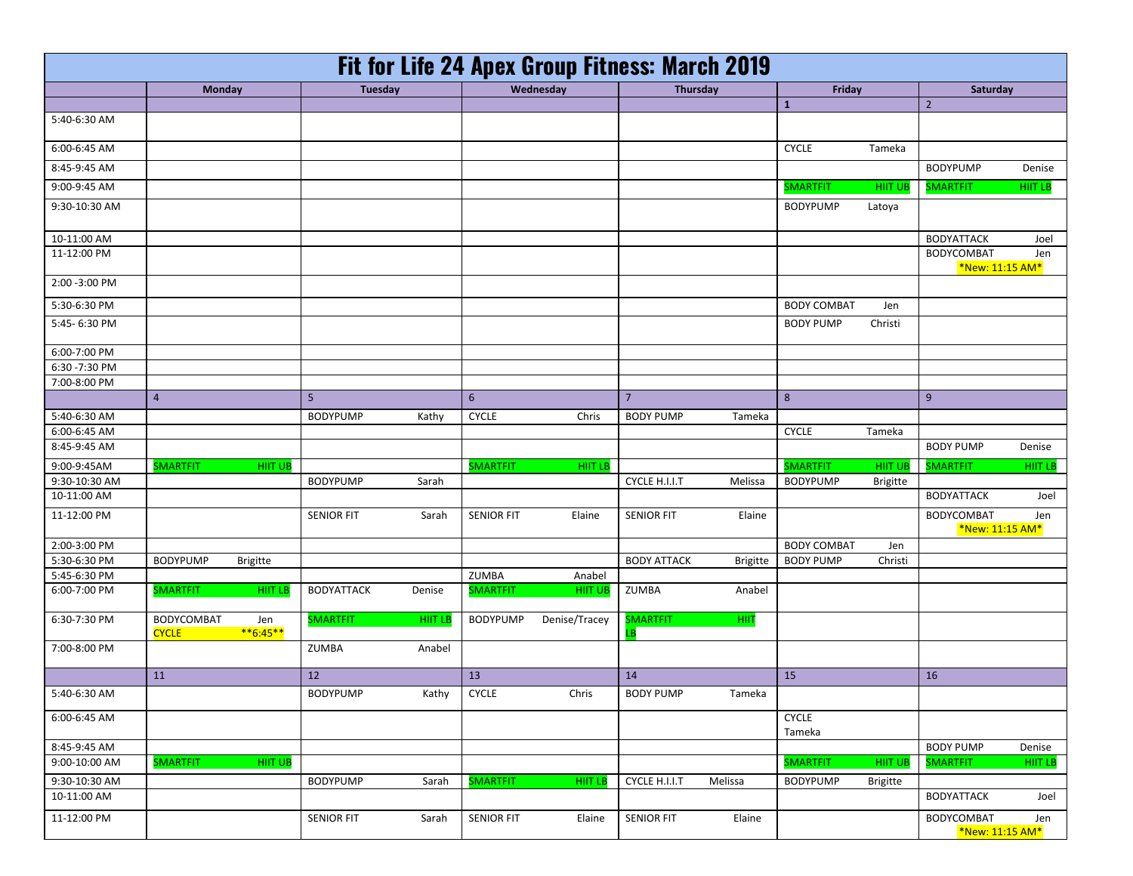| Fit for Life 24 Apex Group Fitness: March 2019 |                                   |                         |                   |                |                   |                |                    |                 |                                        |                 |                                      |                |
|------------------------------------------------|-----------------------------------|-------------------------|-------------------|----------------|-------------------|----------------|--------------------|-----------------|----------------------------------------|-----------------|--------------------------------------|----------------|
|                                                | <b>Monday</b>                     |                         | Tuesday           |                | Wednesday         |                | <b>Thursday</b>    |                 | Friday                                 |                 | Saturday                             |                |
|                                                |                                   |                         |                   |                |                   |                |                    |                 | $\mathbf{1}$                           |                 | $\overline{2}$                       |                |
| 5:40-6:30 AM                                   |                                   |                         |                   |                |                   |                |                    |                 |                                        |                 |                                      |                |
| 6:00-6:45 AM                                   |                                   |                         |                   |                |                   |                |                    |                 | <b>CYCLE</b>                           | Tameka          |                                      |                |
| 8:45-9:45 AM                                   |                                   |                         |                   |                |                   |                |                    |                 |                                        |                 | <b>BODYPUMP</b>                      | Denise         |
| 9:00-9:45 AM                                   |                                   |                         |                   |                |                   |                |                    |                 | <b>SMARTFIT</b>                        | <b>HIIT UI</b>  | <b>SMARTFIT</b>                      | <b>HIIT LB</b> |
| 9:30-10:30 AM                                  |                                   |                         |                   |                |                   |                |                    |                 | <b>BODYPUMP</b>                        | Latoya          |                                      |                |
| 10-11:00 AM                                    |                                   |                         |                   |                |                   |                |                    |                 |                                        |                 | <b>BODYATTACK</b>                    | Joel           |
| 11-12:00 PM                                    |                                   |                         |                   |                |                   |                |                    |                 |                                        |                 | <b>BODYCOMBAT</b><br>*New: 11:15 AM* | Jen            |
| 2:00 -3:00 PM                                  |                                   |                         |                   |                |                   |                |                    |                 |                                        |                 |                                      |                |
| 5:30-6:30 PM                                   |                                   |                         |                   |                |                   |                |                    |                 | <b>BODY COMBAT</b>                     | Jen             |                                      |                |
| 5:45-6:30 PM                                   |                                   |                         |                   |                |                   |                |                    |                 | <b>BODY PUMP</b>                       | Christi         |                                      |                |
| 6:00-7:00 PM                                   |                                   |                         |                   |                |                   |                |                    |                 |                                        |                 |                                      |                |
| 6:30 - 7:30 PM                                 |                                   |                         |                   |                |                   |                |                    |                 |                                        |                 |                                      |                |
| 7:00-8:00 PM                                   |                                   |                         |                   |                |                   |                |                    |                 |                                        |                 |                                      |                |
|                                                | $\overline{4}$                    |                         | 5                 |                | 6                 |                | $7\overline{ }$    |                 | 8                                      |                 | $\boldsymbol{9}$                     |                |
| 5:40-6:30 AM                                   |                                   |                         | <b>BODYPUMP</b>   | Kathy          | <b>CYCLE</b>      | Chris          | <b>BODY PUMP</b>   | Tameka          |                                        |                 |                                      |                |
| 6:00-6:45 AM                                   |                                   |                         |                   |                |                   |                |                    |                 | <b>CYCLE</b>                           | Tameka          |                                      |                |
| 8:45-9:45 AM                                   |                                   |                         |                   |                |                   |                |                    |                 |                                        |                 | <b>BODY PUMP</b>                     | Denise         |
| 9:00-9:45AM                                    | <b>SMARTFIT</b>                   | <b>HIIT UB</b>          | <b>BODYPUMP</b>   |                | <b>SMARTFIT</b>   | <b>HIIT LB</b> |                    |                 | <b>SMARTFIT</b>                        | <b>HIIT UE</b>  | <b>SMARTFIT</b>                      | <b>HIIT LB</b> |
| 9:30-10:30 AM<br>10-11:00 AM                   |                                   |                         |                   | Sarah          |                   |                | CYCLE H.I.I.T      | Melissa         | <b>BODYPUMP</b>                        | <b>Brigitte</b> | <b>BODYATTACK</b>                    | Joel           |
|                                                |                                   |                         |                   |                |                   | Elaine         |                    |                 |                                        |                 | BODYCOMBAT                           |                |
| 11-12:00 PM                                    |                                   |                         | <b>SENIOR FIT</b> | Sarah          | <b>SENIOR FIT</b> |                | <b>SENIOR FIT</b>  | Elaine          |                                        |                 | *New: 11:15 AM*                      | Jen            |
| 2:00-3:00 PM<br>5:30-6:30 PM                   | <b>BODYPUMP</b>                   |                         |                   |                |                   |                | <b>BODY ATTACK</b> |                 | <b>BODY COMBAT</b><br><b>BODY PUMP</b> | Jen             |                                      |                |
| 5:45-6:30 PM                                   |                                   | <b>Brigitte</b>         |                   |                | ZUMBA             | Anabel         |                    | <b>Brigitte</b> |                                        | Christi         |                                      |                |
| 6:00-7:00 PM                                   | <b>SMARTFIT</b>                   | HIIT LB                 | <b>BODYATTACK</b> | Denise         | <b>SMARTFIT</b>   | <b>HIIT UB</b> | ZUMBA              | Anabel          |                                        |                 |                                      |                |
| 6:30-7:30 PM                                   | <b>BODYCOMBAT</b><br><b>CYCLE</b> | Jen<br>$*$ $*$ 6:45 $*$ | <b>SMARTFIT</b>   | <b>HIIT LB</b> | <b>BODYPUMP</b>   | Denise/Tracey  | <b>SMARTFIT</b>    | HIIT            |                                        |                 |                                      |                |
| 7:00-8:00 PM                                   |                                   |                         | ZUMBA             | Anabel         |                   |                |                    |                 |                                        |                 |                                      |                |
|                                                | 11                                |                         | 12                |                | 13                |                | 14                 |                 | 15                                     |                 | 16                                   |                |
| 5:40-6:30 AM                                   |                                   |                         | <b>BODYPUMP</b>   | Kathy          | <b>CYCLE</b>      | Chris          | <b>BODY PUMP</b>   | Tameka          |                                        |                 |                                      |                |
| 6:00-6:45 AM                                   |                                   |                         |                   |                |                   |                |                    |                 | <b>CYCLE</b><br>Tameka                 |                 |                                      |                |
| 8:45-9:45 AM                                   |                                   |                         |                   |                |                   |                |                    |                 |                                        |                 | <b>BODY PUMP</b>                     | Denise         |
| 9:00-10:00 AM                                  | <b>SMARTFIT</b>                   | <b>HIIT UB</b>          |                   |                |                   |                |                    |                 | <b>SMARTFIT</b>                        | <b>HIIT UE</b>  | <b>SMARTFIT</b>                      | <b>HIIT LB</b> |
| 9:30-10:30 AM                                  |                                   |                         | <b>BODYPUMP</b>   | Sarah          | <b>SMARTFIT</b>   | <b>HIIT LB</b> | CYCLE H.I.I.T      | Melissa         | <b>BODYPUMP</b>                        | <b>Brigitte</b> |                                      |                |
| 10-11:00 AM                                    |                                   |                         |                   |                |                   |                |                    |                 |                                        |                 | <b>BODYATTACK</b>                    | Joel           |
| 11-12:00 PM                                    |                                   |                         | <b>SENIOR FIT</b> | Sarah          | <b>SENIOR FIT</b> | Elaine         | <b>SENIOR FIT</b>  | Elaine          |                                        |                 | BODYCOMBAT<br>*New: 11:15 AM*        | Jen            |